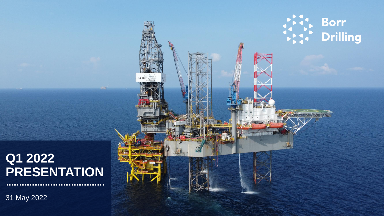### **Q1 2022 PRESENTATION**

31 May 2022

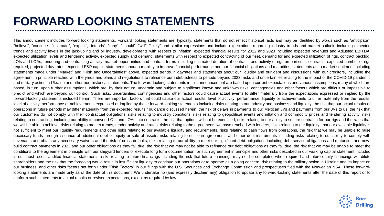## **FORWARD LOOKING STATEMENTS**

This announcement includes forward looking statements. Forward looking statements are, typically, statements that do not reflect historical facts and may be identified by words such as "anticipate", "believe", "continue", "estimate", "expect", "intends", "may", "should", "will", "likely" and similar expressions and include expectations regarding industry trends and market outlook, including expected trends and activity levels in the jack-up rig and oil industry, developments with respect to inflation, expected financial results for 2022 and 2023 including expected revenues and Adjusted EBITDA, expected utilization levels and tendering activity, expected supply and demand, statements with respect to expected contracting of our fleet, demand for and expected utilization of rigs, contract backlog, LOIs and LOAs, tendering and contracting activity, market opportunities and contract terms including estimated duration of contracts and activity of rigs on particular contracts, expected number of rigs required, projected day-rates, expected E&P capex, statements about our ability to improve financial performance and our financial obligations and maturities, statements as to market sentiment including statements made under "Market" and "Risk and Uncertainties" above, expected trends in dayrates and statements about our liquidity and our debt and discussions with our creditors, including the agreement in principle reached with the yards and plans and negotiations to refinance our indebtedness to periods beyond 2023, risks and uncertainties relating to the impact of the COVID-19 pandemic and military action in Ukraine and other non-historical statements. The forward-looking statements in this announcement are based upon current expectations and various assumptions, many of which are based, in turn, upon further assumptions, which are, by their nature, uncertain and subject to significant known and unknown risks, contingencies and other factors which are difficult or impossible to predict and which are beyond our control. Such risks, uncertainties, contingencies and other factors could cause actual events to differ materially from the expectations expressed or implied by the forward-looking statements included herein. There are important factors that could cause our actual results, level of activity, performance, liquidity or achievements to differ materially from the results, level of activity, performance or achievements expressed or implied by these forward-looking statements including risks relating to our industry and business and liquidity, the risk that our actual results of operations in future periods may differ materially from the expected results / guidance discussed herein, the risk of delays in payments to our Mexican JVs and payments from our JVs to us, the risk that our customers do not comply with their contractual obligations, risks relating to industry conditions, risks relating to geopolitical events and inflation and commodity prices and tendering activity, risks relating to contracting, including our ability to convert LOIs and LOAs into contracts, the risk that options will not be exercised, risks relating to our ability to secure contracts for our rigs and the rates that we will be able to achieve, risks relating to market trends, tender activity and rates, risks relating to the agreements we have reached with lenders, risks relating to our liquidity, that our available liquidity is not sufficient to meet our liquidity requirements and other risks relating to our available liquidity and requirements, risks relating to cash flows from operations, the risk that we may be unable to raise necessary funds through issuance of additional debt or equity or sale of assets; risks relating to our loan agreements and other debt instruments including risks relating to our ability to comply with covenants and obtain any necessary waivers and the risk of cross defaults, risks relating to our ability to meet our significant debt obligations including debt service obligations and maturities and newbuild contract payments in 2023 and our other obligations as they fall due, the risk that we may not be able to refinance our debt obligations as they fall due, the risk that we may be unable to meet the conditions to the agreement in principle with our shipyard lenders or execute long form documentation for such agreement in principle and other risks described in our working capital statement included in our most recent audited financial statements, risks relating to future financings including the risk that future financings may not be completed when required and future equity financings will dilute shareholders and the risk that the foregoing would result in insufficient liquidity to continue our operations or to operate as a going concern, risk relating to the military action in Ukraine and its impact on our business, and other risks factors set forth under "Risk Factors" in our filings with the U.S. Securities and Exchange Commission and prospectuses filed with the Norwegian NSA. These forwardlooking statements are made only as of the date of this document. We undertake no (and expressly disclaim any) obligation to update any forward-looking statements after the date of this report or to conform such statements to actual results or revised expectations, except as required by law.

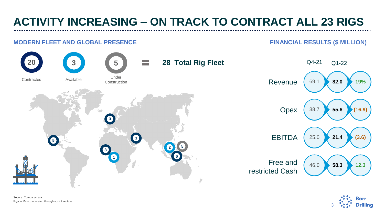## **ACTIVITY INCREASING – ON TRACK TO CONTRACT ALL 23 RIGS**

#### **MODERN FLEET AND GLOBAL PRESENCE FINANCIAL RESULTS (\$ MILLION)**



Source: Company data Rigs in Mexico operated through a joint venture

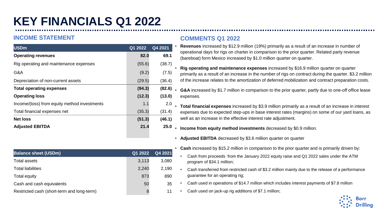## **KEY FINANCIALS Q1 2022**

#### **INCOME STATEMENT**

| <b>USDm</b>                                  | Q1 2022 | Q4 2021 |
|----------------------------------------------|---------|---------|
| <b>Operating revenues</b>                    | 82.0    | 69.1    |
| Rig operating and maintenance expenses       | (55.6)  | (38.7)  |
| G&A                                          | (9.2)   | (7.5)   |
| Depreciation of non-current assets           | (29.5)  | (36.4)  |
| <b>Total operating expenses</b>              | (94.3)  | (82.6)  |
| <b>Operating loss</b>                        | (12.3)  | (13.0)  |
| Income/(loss) from equity method investments | 1.1     | 2.0     |
| Total financial expenses net                 | (35.3)  | (31.4)  |
| <b>Net loss</b>                              | (51.3)  | (46.1)  |
| <b>Adjusted EBITDA</b>                       | 21.4    | 25.0    |

- **Revenues** increased by \$12.9 million (19%) primarily as a result of an increase in number of operational days for rigs on charter in comparison to the prior quarter. Related party revenue (bareboat) form Mexico increased by \$1.0 million quarter on quarter.
- **Rig operating and maintenance expenses** increased by \$16.9 million quarter on quarter primarily as a result of an increase in the number of rigs on contract during the quarter. \$3.2 million of the increase relates to the amortization of deferred mobilization and contract preparation costs.
- **G&A** increased by \$1.7 million in comparison to the prior quarter, partly due to one-off office lease expenses.
- **Total financial expenses** increased by \$3.9 million primarily as a result of an increase in interest expenses due to expected step-ups in base interest rates (margins) on some of our yard loans, as well as an increase in the effective interest rate adjustment.
- **Income from equity method investments** decreased by \$0.9 million.
- **Adjusted EBITDA** decreased by \$3.6 million quarter on quarter
- **Cash** increased by \$15.2 million in comparison to the prior quarter and is primarily driven by:
	- Cash from proceeds from the January 2022 equity raise and Q1 2022 sales under the ATM program of \$34.1 million;
	- Cash transferred from restricted cash of \$3.2 million mainly due to the release of a performance guarantee for an operating rig;
	- Cash used in operations of \$14.7 million which includes interest payments of \$7.8 million
	- Cash used on jack-up rig additions of \$7.1 million;



| <b>Balance sheet (USDm)</b>                | Q1 2022 | Q4 2021 |
|--------------------------------------------|---------|---------|
| <b>Total assets</b>                        | 3,113   | 3,080   |
| <b>Total liabilities</b>                   | 2,240   | 2,190   |
| Total equity                               | 873     | 890     |
| Cash and cash equivalents                  | 50      | 35      |
| Restricted cash (short-term and long-term) |         | 11      |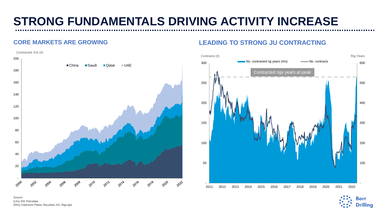# **STRONG FUNDAMENTALS DRIVING ACTIVITY INCREASE**



#### **CORE MARKETS ARE GROWING LEADING TO STRONG JU CONTRACTING**



Source: (Lhs) IHS Petrodata (Rhs) Clarksons Platou Securities AS, RigLogix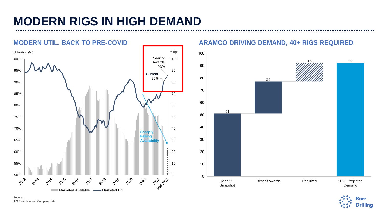## **MODERN RIGS IN HIGH DEMAND**

#### # rigsUtilization (%) Nearing 100% 100 Awards 93% 95% 90 **Current** 90% 90% 80 70 85% 80% 60 75% 50 70% 40 **Sharpl Falling** 65% 30 **Availability** 60% 20 55% 10  $50\%$   $\mathbb{L}$ 2022-0222 2020 2013 2016 2018 2019 2021 2011 Marketed Available - Marketed Util.

#### **MODERN UTIL. BACK TO PRE-COVID ARAMCO DRIVING DEMAND, 40+ RIGS REQUIRED**



Source: IHS Petrodata and Company data

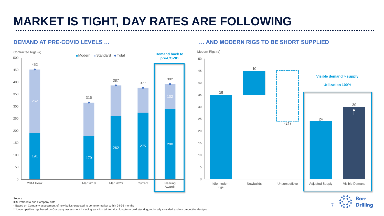# **MARKET IS TIGHT, DAY RATES ARE FOLLOWING**



#### **DEMAND AT PRE-COVID LEVELS … … AND MODERN RIGS TO BE SHORT SUPPLIED**





Source:

IHS Petrodata and Company data

\* Based on Company assessment of new builds expected to come to market within 24-36 months

\*\* Uncompetitive rigs based on Company assessment including sanction tainted rigs, long term cold stacking, regionally stranded and uncompetitive designs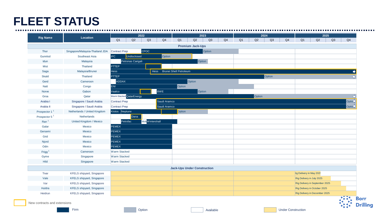#### **FLEET STATUS**

| <b>Rig Name</b>  | Location                         | 2022                     |                   |                 |                             |                                    |                         | 2023   |    | 2024 |        |        |    |    |                                 | 2025 |                    |
|------------------|----------------------------------|--------------------------|-------------------|-----------------|-----------------------------|------------------------------------|-------------------------|--------|----|------|--------|--------|----|----|---------------------------------|------|--------------------|
|                  |                                  | Q <sub>1</sub>           | $\mathsf{Q2}$     | Q3              | Q4                          | Q1                                 | Q2                      | Q3     | Q4 | Q1   | Q2     | Q3     | Q4 | Q1 | Q2                              | Q3   | Q <sub>4</sub>     |
|                  |                                  |                          |                   |                 |                             |                                    | <b>Premium Jack-Ups</b> |        |    |      |        |        |    |    |                                 |      |                    |
| Thor             | Singapore/Malaysia-Thailand JDA  | Contract Prep            |                   | <b>CPOC</b>     |                             |                                    |                         | Option |    |      |        |        |    |    |                                 |      |                    |
| Gunnlod          | Southeast Asia                   | <b>IPC</b>               | Undisclosed       |                 | Option                      |                                    |                         |        |    |      |        |        |    |    |                                 |      |                    |
| Idun             | Malaysia                         |                          | Petronas Carigali |                 |                             |                                    |                         | Option |    |      |        |        |    |    |                                 |      |                    |
| <b>Mist</b>      | Thailand                         | <b>PTTEP</b>             |                   |                 |                             |                                    |                         |        |    |      |        |        |    |    |                                 |      |                    |
| Saga             | Malaysia/Brunei                  | <b>Hess</b>              |                   |                 | Hess Brunei Shell Petroleum |                                    |                         |        |    |      |        |        |    |    |                                 |      |                    |
| <b>Skald</b>     | Thailand                         | <b>PTTEP</b>             |                   |                 |                             |                                    |                         |        |    |      |        | Option |    |    |                                 |      |                    |
| Gerd             | Cameroon                         | ADDAX                    |                   |                 |                             |                                    | Option                  |        |    |      |        |        |    |    |                                 |      |                    |
| <b>Natt</b>      | Congo                            | <b>ENI</b>               |                   |                 |                             | Option                             |                         |        |    |      |        |        |    |    |                                 |      |                    |
| Norve            | Gabon                            | Vaalco                   |                   |                 | <b>BWE</b>                  |                                    |                         | Option |    |      |        |        |    |    |                                 |      |                    |
| Groa             | Qatar                            | Warm Stacked QatarEnergy |                   |                 |                             |                                    |                         |        |    |      | Option |        |    |    |                                 |      |                    |
| Arabia I         | Singapore / Saudi Arabia         | Contract Prep            |                   |                 | Saudi Aramco                |                                    |                         |        |    |      |        |        |    |    |                                 |      | Optio <sub>n</sub> |
| Arabia II        | Singapore / Saudi Arabia         | Contract Prep            |                   |                 | Saudi Aramco                |                                    |                         |        |    |      |        |        |    |    |                                 |      | Optio <sub>n</sub> |
| Prospector 1     | Netherlands / United Kingdom     | Kistos Neptune           |                   |                 |                             | Option                             |                         |        |    |      |        |        |    |    |                                 |      |                    |
| Prospector 5     | <b>Netherlands</b>               |                          | Dana              |                 |                             |                                    |                         |        |    |      |        |        |    |    |                                 |      |                    |
| Ran <sup>1</sup> | United Kingdom / Mexico          | Petrofac                 |                   | Mob Wintershall |                             |                                    |                         |        |    |      |        |        |    |    |                                 |      |                    |
| Galar            | Mexico                           | PEMEX                    |                   |                 |                             |                                    |                         |        |    |      |        |        |    |    |                                 |      |                    |
| Gersemi          | Mexico                           | PEMEX                    |                   |                 |                             |                                    |                         |        |    |      |        |        |    |    |                                 |      |                    |
| Grid             | Mexico                           | PEMEX                    |                   |                 |                             |                                    |                         |        |    |      |        |        |    |    |                                 |      |                    |
| Njord            | Mexico                           | PEMEX                    |                   |                 |                             |                                    |                         |        |    |      |        |        |    |    |                                 |      |                    |
| Odin             | Mexico                           | PEMEX                    |                   |                 |                             |                                    |                         |        |    |      |        |        |    |    |                                 |      |                    |
| Frigg            | Cameroon                         | Warm Stacked             |                   |                 |                             |                                    |                         |        |    |      |        |        |    |    |                                 |      |                    |
| Gyme             | Singapore                        | Warm Stacked             |                   |                 |                             |                                    |                         |        |    |      |        |        |    |    |                                 |      |                    |
| Hild             | Singapore                        | Warm Stacked             |                   |                 |                             |                                    |                         |        |    |      |        |        |    |    |                                 |      |                    |
|                  |                                  |                          |                   |                 |                             | <b>Jack-Ups Under Construction</b> |                         |        |    |      |        |        |    |    |                                 |      |                    |
| Tivar            | KFELS shipyard, Singapore        |                          |                   |                 |                             |                                    |                         |        |    |      |        |        |    |    | <b>Rig Delivery in May 2025</b> |      |                    |
| Vale             | <b>KFELS shipyard, Singapore</b> |                          |                   |                 |                             |                                    |                         |        |    |      |        |        |    |    | Rig Delivery in July 2025       |      |                    |
| Var              | KFELS shipyard, Singapore        |                          |                   |                 |                             |                                    |                         |        |    |      |        |        |    |    | Rig Delivery in September 2025  |      |                    |
| Huldra           | <b>KFELS shipyard, Singapore</b> |                          |                   |                 |                             |                                    |                         |        |    |      |        |        |    |    | Rig Delivery in October 2025    |      |                    |
| Heidrun          | KFELS shipyard, Singapore        |                          |                   |                 |                             |                                    |                         |        |    |      |        |        |    |    | Rig Delivery in December 2025   |      |                    |
|                  |                                  |                          |                   |                 |                             |                                    |                         |        |    |      |        |        |    |    |                                 |      |                    |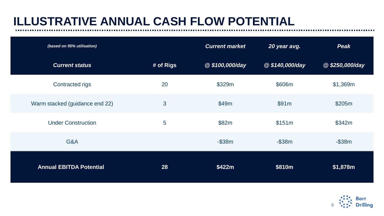## **ILLUSTRATIVE ANNUAL CASH FLOW POTENTIAL**

| (based on 95% utilisation)     |           | <b>Current market</b> | 20 year avg.   | <b>Peak</b>    |
|--------------------------------|-----------|-----------------------|----------------|----------------|
| <b>Current status</b>          | # of Rigs | @\$100,000/day        | @\$140,000/day | @\$250,000/day |
| <b>Contracted rigs</b>         | 20        | \$329m                | \$606m         | \$1,369m       |
| Warm stacked (guidance end 22) | 3         | \$49m                 | \$91m          | \$205m         |
| <b>Under Construction</b>      | 5         | \$82m                 | \$151m         | \$342m         |
| G&A                            |           | $-$ \$38 $m$          | $-$ \$38 $m$   | $-$ \$38 $m$   |
| <b>Annual EBITDA Potential</b> | 28        | \$422m                | \$810m         | \$1,878m       |

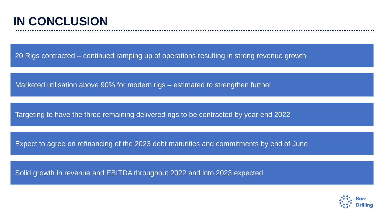### **IN CONCLUSION**

20 Rigs contracted – continued ramping up of operations resulting in strong revenue growth

Marketed utilisation above 90% for modern rigs – estimated to strengthen further

Targeting to have the three remaining delivered rigs to be contracted by year end 2022

Expect to agree on refinancing of the 2023 debt maturities and commitments by end of June

Solid growth in revenue and EBITDA throughout 2022 and into 2023 expected